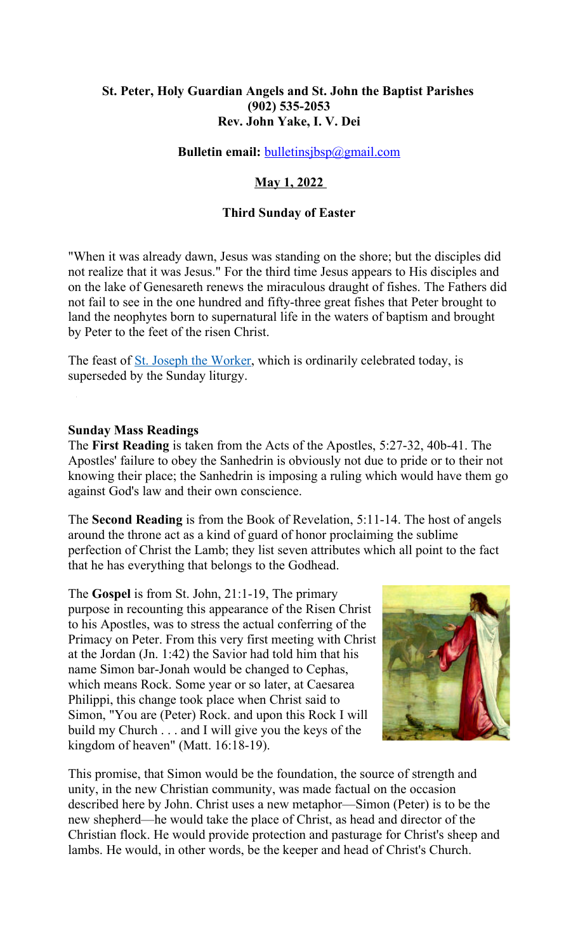# **St. Peter, Holy Guardian Angels and St. John the Baptist Parishes (902) 535-2053 Rev. John Yake, I. V. Dei**

## **Bulletin email:** [bulletinsjbsp@gmail.com](mailto:bulletinsjbsp@gmail.com)

# **May 1, 2022**

### **Third Sunday of Easter**

"When it was already dawn, Jesus was standing on the shore; but the disciples did not realize that it was Jesus." For the third time Jesus appears to His disciples and on the lake of Genesareth renews the miraculous draught of fishes. The Fathers did not fail to see in the one hundred and fifty-three great fishes that Peter brought to land the neophytes born to supernatural life in the waters of baptism and brought by Peter to the feet of the risen Christ.

The feast of <u>St. Joseph the Worker</u>, which is ordinarily celebrated today, is superseded by the Sunday liturgy.

**Sunday Mass Readings**

The **First Reading** is taken from the Acts of the Apostles, 5:27-32, 40b-41. The Apostles' failure to obey the Sanhedrin is obviously not due to pride or to their not knowing their place; the Sanhedrin is imposing a ruling which would have them go against God's law and their own conscience.

The **Second Reading** is from the Book of Revelation, 5:11-14. The host of angels around the throne act as a kind of guard of honor proclaiming the sublime perfection of Christ the Lamb; they list seven attributes which all point to the fact that he has everything that belongs to the Godhead.

The **Gospel** is from St. John, 21:1-19, The primary purpose in recounting this appearance of the Risen Christ to his Apostles, was to stress the actual conferring of the Primacy on Peter. From this very first meeting with Christ at the Jordan (Jn. 1:42) the Savior had told him that his name Simon bar-Jonah would be changed to Cephas, which means Rock. Some year or so later, at Caesarea Philippi, this change took place when Christ said to Simon, "You are (Peter) Rock. and upon this Rock I will build my Church . . . and I will give you the keys of the kingdom of heaven" (Matt. 16:18-19).



This promise, that Simon would be the foundation, the source of strength and unity, in the new Christian community, was made factual on the occasion described here by John. Christ uses a new metaphor—Simon (Peter) is to be the new shepherd—he would take the place of Christ, as head and director of the Christian flock. He would provide protection and pasturage for Christ's sheep and lambs. He would, in other words, be the keeper and head of Christ's Church.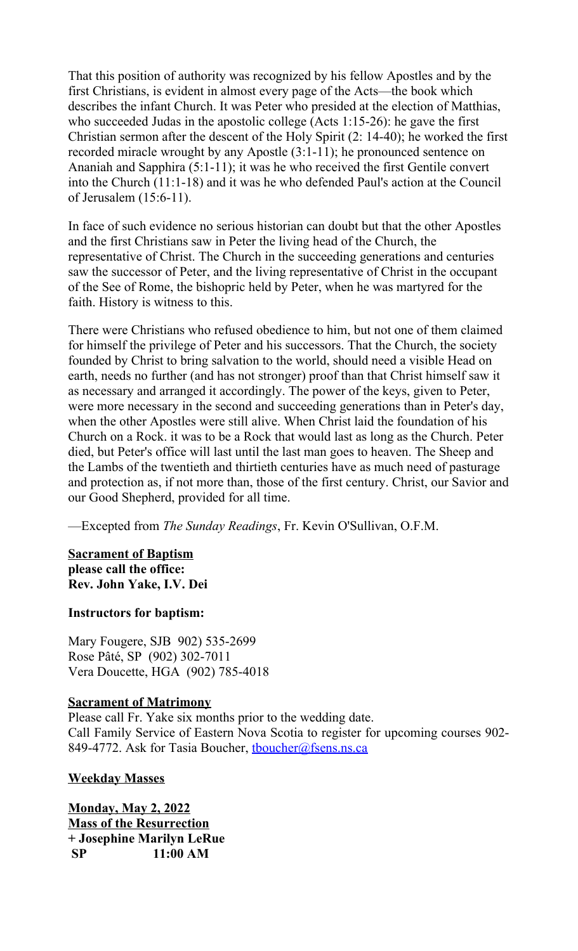That this position of authority was recognized by his fellow Apostles and by the first Christians, is evident in almost every page of the Acts—the book which describes the infant Church. It was Peter who presided at the election of Matthias, who succeeded Judas in the apostolic college (Acts 1:15-26): he gave the first Christian sermon after the descent of the Holy Spirit (2: 14-40); he worked the first recorded miracle wrought by any Apostle (3:1-11); he pronounced sentence on Ananiah and Sapphira (5:1-11); it was he who received the first Gentile convert into the Church (11:1-18) and it was he who defended Paul's action at the Council of Jerusalem (15:6-11).

In face of such evidence no serious historian can doubt but that the other Apostles and the first Christians saw in Peter the living head of the Church, the representative of Christ. The Church in the succeeding generations and centuries saw the successor of Peter, and the living representative of Christ in the occupant of the See of Rome, the bishopric held by Peter, when he was martyred for the faith. History is witness to this.

There were Christians who refused obedience to him, but not one of them claimed for himself the privilege of Peter and his successors. That the Church, the society founded by Christ to bring salvation to the world, should need a visible Head on earth, needs no further (and has not stronger) proof than that Christ himself saw it as necessary and arranged it accordingly. The power of the keys, given to Peter, were more necessary in the second and succeeding generations than in Peter's day, when the other Apostles were still alive. When Christ laid the foundation of his Church on a Rock. it was to be a Rock that would last as long as the Church. Peter died, but Peter's office will last until the last man goes to heaven. The Sheep and the Lambs of the twentieth and thirtieth centuries have as much need of pasturage and protection as, if not more than, those of the first century. Christ, our Savior and our Good Shepherd, provided for all time.

—Excepted from *The Sunday Readings*, Fr. Kevin O'Sullivan, O.F.M.

## **Sacrament of Baptism please call the office: Rev. John Yake, I.V. Dei**

# **Instructors for baptism:**

Mary Fougere, SJB 902) 535-2699 Rose Pâté, SP (902) 302-7011 Vera Doucette, HGA (902) 785-4018

# **Sacrament of Matrimony**

Please call Fr. Yake six months prior to the wedding date. Call Family Service of Eastern Nova Scotia to register for upcoming courses 902- 849-4772. Ask for Tasia Boucher, thoucher@fsens.ns.ca

# **Weekday Masses**

**Monday, May 2, 2022 Mass of the Resurrection + Josephine Marilyn LeRue SP 11:00 AM**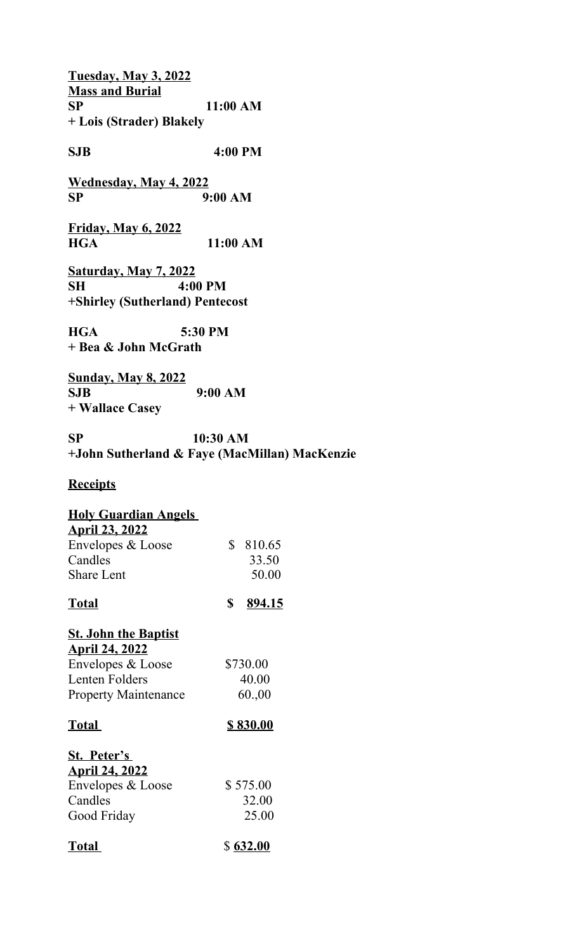**Tuesday, May 3, 2022 Mass and Burial SP 11:00 AM + Lois (Strader) Blakely**

**SJB 4:00 PM**

**Wednesday, May 4, 2022 SP 9:00 AM**

**Friday, May 6, 2022 HGA 11:00 AM**

**Saturday, May 7, 2022 SH 4:00 PM +Shirley (Sutherland) Pentecost**

**HGA 5:30 PM + Bea & John McGrath** 

**Sunday, May 8, 2022 SJB 9:00 AM + Wallace Casey**

**SP 10:30 AM +John Sutherland & Faye (MacMillan) MacKenzie**

# **Receipts**

#### **Holy Guardian Angels April 23, 2022**

| <u>ADIII 29, 2022</u> |          |
|-----------------------|----------|
| Envelopes & Loose     | \$810.65 |
| Candles               | 33.50    |
| <b>Share Lent</b>     | 50.00    |
|                       |          |

**Total \$ 894.15**

#### **St. John the Baptist April 24, 2022**

| \$730.00 |
|----------|
|          |
| 40.00    |
| 60.00    |
|          |

# **Total \$ 830.00**

| St. Peter's           |          |
|-----------------------|----------|
| <b>April 24, 2022</b> |          |
| Envelopes & Loose     | \$575.00 |
| Candles               | 32.00    |
| Good Friday           | 25.00    |
|                       |          |

| Total |  | \$632.00 |
|-------|--|----------|
|-------|--|----------|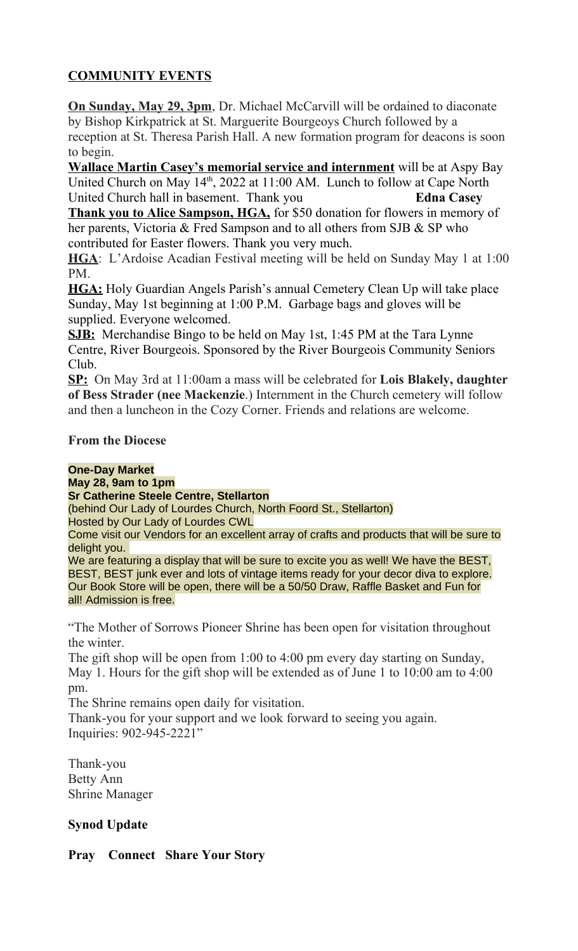# **COMMUNITY EVENTS**

**On Sunday, May 29, 3pm**, Dr. Michael McCarvill will be ordained to diaconate by Bishop Kirkpatrick at St. Marguerite Bourgeoys Church followed by a reception at St. Theresa Parish Hall. A new formation program for deacons is soon to begin.

**Wallace Martin Casey's memorial service and internment** will be at Aspy Bay United Church on May  $14<sup>th</sup>$ , 2022 at 11:00 AM. Lunch to follow at Cape North United Church hall in basement. Thank you **Edna Casey**

**Thank you to Alice Sampson, HGA,** for \$50 donation for flowers in memory of her parents, Victoria & Fred Sampson and to all others from SJB & SP who contributed for Easter flowers. Thank you very much.

**HGA**: L'Ardoise Acadian Festival meeting will be held on Sunday May 1 at 1:00 PM.

**HGA:** Holy Guardian Angels Parish's annual Cemetery Clean Up will take place Sunday, May 1st beginning at 1:00 P.M. Garbage bags and gloves will be supplied. Everyone welcomed.

**SJB:** Merchandise Bingo to be held on May 1st, 1:45 PM at the Tara Lynne Centre, River Bourgeois. Sponsored by the River Bourgeois Community Seniors Club.

**SP:** On May 3rd at 11:00am a mass will be celebrated for **Lois Blakely, daughter of Bess Strader (nee Mackenzie**.) Internment in the Church cemetery will follow and then a luncheon in the Cozy Corner. Friends and relations are welcome.

# **From the Diocese**

# **One-Day Market**

**May 28, 9am to 1pm**

**Sr Catherine Steele Centre, Stellarton**

(behind Our Lady of Lourdes Church, North Foord St., Stellarton)

Hosted by Our Lady of Lourdes CWL

Come visit our Vendors for an excellent array of crafts and products that will be sure to delight you.

We are featuring a display that will be sure to excite you as well! We have the BEST, BEST, BEST junk ever and lots of vintage items ready for your decor diva to explore. Our Book Store will be open, there will be a 50/50 Draw, Raffle Basket and Fun for all! Admission is free.

"The Mother of Sorrows Pioneer Shrine has been open for visitation throughout the winter.

The gift shop will be open from 1:00 to 4:00 pm every day starting on Sunday, May 1. Hours for the gift shop will be extended as of June 1 to 10:00 am to 4:00 pm.

The Shrine remains open daily for visitation.

Thank-you for your support and we look forward to seeing you again. Inquiries: 902-945-2221"

Thank-you Betty Ann Shrine Manager

# **Synod Update**

# **Pray Connect Share Your Story**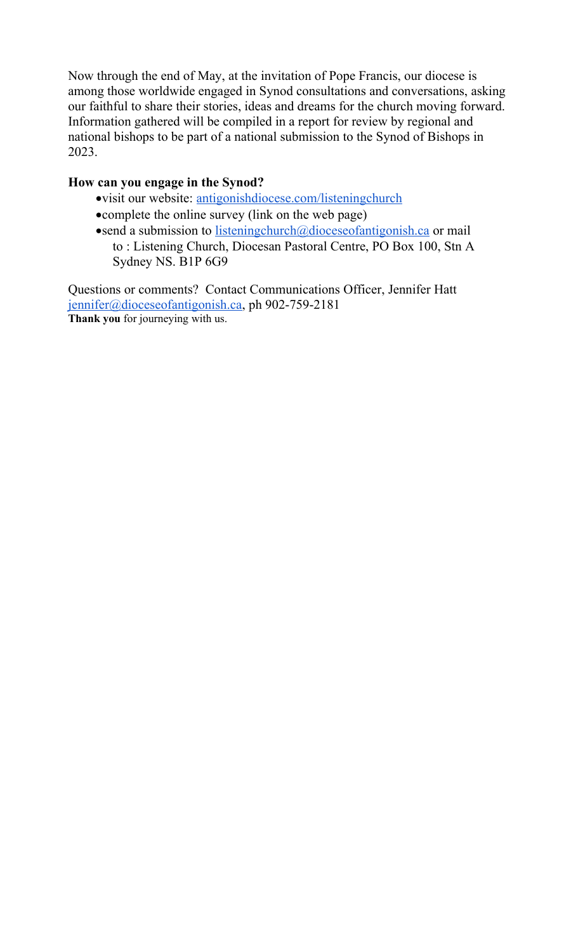Now through the end of May, at the invitation of Pope Francis, our diocese is among those worldwide engaged in Synod consultations and conversations, asking our faithful to share their stories, ideas and dreams for the church moving forward. Information gathered will be compiled in a report for review by regional and national bishops to be part of a national submission to the Synod of Bishops in 2023.

# **How can you engage in the Synod?**

- visit our website: [antigonishdiocese.com/listeningchurch](http://antigonishdiocese.com/listeningchurch)
- complete the online survey (link on the web page)
- send a submission to [listeningchurch@dioceseofantigonish.ca](mailto:listeningchurch@dioceseofantigonish.ca) or mail to : Listening Church, Diocesan Pastoral Centre, PO Box 100, Stn A Sydney NS. B1P 6G9

Questions or comments? Contact Communications Officer, Jennifer Hatt [jennifer@dioceseofantigonish.ca,](mailto:jennifer@dioceseofantigonish.ca) ph 902-759-2181 **Thank you** for journeying with us.